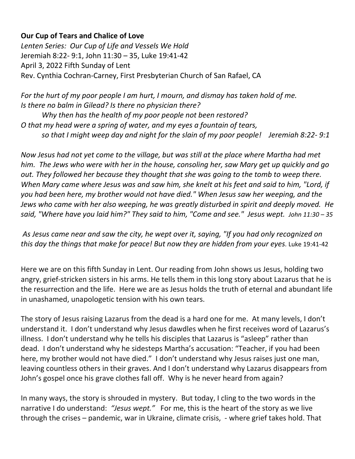## **Our Cup of Tears and Chalice of Love**

*Lenten Series: Our Cup of Life and Vessels We Hold* Jeremiah 8:22- 9:1, John 11:30 – 35, Luke 19:41-42 April 3, 2022 Fifth Sunday of Lent Rev. Cynthia Cochran-Carney, First Presbyterian Church of San Rafael, CA

*For the hurt of my poor people I am hurt, I mourn, and dismay has taken hold of me. Is there no balm in Gilead? Is there no physician there?* 

*Why then has the health of my poor people not been restored? O that my head were a spring of water, and my eyes a fountain of tears, so that I might weep day and night for the slain of my poor people! Jeremiah 8:22- 9:1*

*Now Jesus had not yet come to the village, but was still at the place where Martha had met him. The Jews who were with her in the house, consoling her, saw Mary get up quickly and go out. They followed her because they thought that she was going to the tomb to weep there. When Mary came where Jesus was and saw him, she knelt at his feet and said to him, "Lord, if you had been here, my brother would not have died." When Jesus saw her weeping, and the Jews who came with her also weeping, he was greatly disturbed in spirit and deeply moved. He said, "Where have you laid him?" They said to him, "Come and see." Jesus wept. John 11:30 – 35*

*As Jesus came near and saw the city, he wept over it, saying, "If you had only recognized on this day the things that make for peace! But now they are hidden from your eyes.* Luke 19:41-42

Here we are on this fifth Sunday in Lent. Our reading from John shows us Jesus, holding two angry, grief-stricken sisters in his arms. He tells them in this long story about Lazarus that he is the resurrection and the life. Here we are as Jesus holds the truth of eternal and abundant life in unashamed, unapologetic tension with his own tears.

The story of Jesus raising Lazarus from the dead is a hard one for me. At many levels, I don't understand it. I don't understand why Jesus dawdles when he first receives word of Lazarus's illness. I don't understand why he tells his disciples that Lazarus is "asleep" rather than dead. I don't understand why he sidesteps Martha's accusation: "Teacher, if you had been here, my brother would not have died." I don't understand why Jesus raises just one man, leaving countless others in their graves. And I don't understand why Lazarus disappears from John's gospel once his grave clothes fall off. Why is he never heard from again?

In many ways, the story is shrouded in mystery. But today, I cling to the two words in the narrative I do understand: *"Jesus wept."* For me, this is the heart of the story as we live through the crises – pandemic, war in Ukraine, climate crisis, - where grief takes hold. That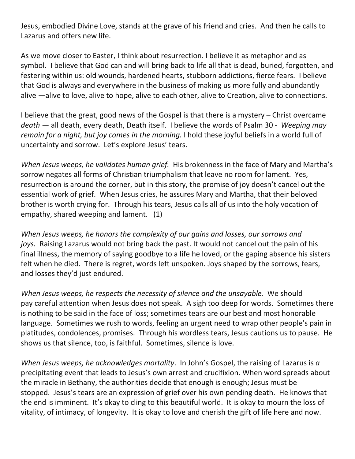Jesus, embodied Divine Love, stands at the grave of his friend and cries. And then he calls to Lazarus and offers new life.

As we move closer to Easter, I think about resurrection. I believe it as metaphor and as symbol. I believe that God can and will bring back to life all that is dead, buried, forgotten, and festering within us: old wounds, hardened hearts, stubborn addictions, fierce fears. I believe that God is always and everywhere in the business of making us more fully and abundantly alive —alive to love, alive to hope, alive to each other, alive to Creation, alive to connections.

I believe that the great, good news of the Gospel is that there is a mystery – Christ overcame *death —* all death, every death, Death itself. I believe the words of Psalm 30 - *Weeping may remain for a night, but joy comes in the morning.* I hold these joyful beliefs in a world full of uncertainty and sorrow. Let's explore Jesus' tears.

*When Jesus weeps, he validates human grief.* His brokenness in the face of Mary and Martha's sorrow negates all forms of Christian triumphalism that leave no room for lament. Yes, resurrection is around the corner, but in this story, the promise of joy doesn't cancel out the essential work of grief. When Jesus cries, he assures Mary and Martha, that their beloved brother is worth crying for. Through his tears, Jesus calls all of us into the holy vocation of empathy, shared weeping and lament. (1)

*When Jesus weeps, he honors the complexity of our gains and losses, our sorrows and joys.* Raising Lazarus would not bring back the past. It would not cancel out the pain of his final illness, the memory of saying goodbye to a life he loved, or the gaping absence his sisters felt when he died. There is regret, words left unspoken. Joys shaped by the sorrows, fears, and losses they'd just endured.

*When Jesus weeps, he respects the necessity of silence and the unsayable.* We should pay careful attention when Jesus does not speak. A sigh too deep for words. Sometimes there is nothing to be said in the face of loss; sometimes tears are our best and most honorable language. Sometimes we rush to words, feeling an urgent need to wrap other people's pain in platitudes, condolences, promises. Through his wordless tears, Jesus cautions us to pause. He shows us that silence, too, is faithful. Sometimes, silence is love.

*When Jesus weeps, he acknowledges mortality*. In John's Gospel, the raising of Lazarus is *a*  precipitating event that leads to Jesus's own arrest and crucifixion. When word spreads about the miracle in Bethany, the authorities decide that enough is enough; Jesus must be stopped. Jesus's tears are an expression of grief over his own pending death. He knows that the end is imminent. It's okay to cling to this beautiful world. It is okay to mourn the loss of vitality, of intimacy, of longevity. It is okay to love and cherish the gift of life here and now.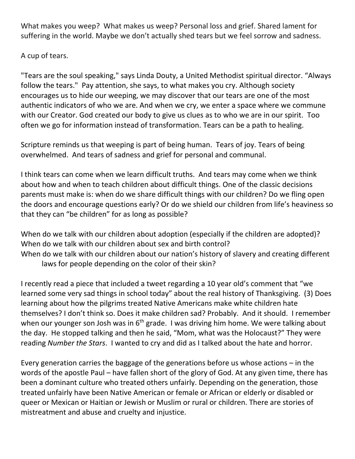What makes you weep? What makes us weep? Personal loss and grief. Shared lament for suffering in the world. Maybe we don't actually shed tears but we feel sorrow and sadness.

A cup of tears.

"Tears are the soul speaking," says Linda Douty, a United Methodist spiritual director. "Always follow the tears." Pay attention, she says, to what makes you cry. Although society encourages us to hide our weeping, we may discover that our tears are one of the most authentic indicators of who we are. And when we cry, we enter a space where we commune with our Creator. God created our body to give us clues as to who we are in our spirit. Too often we go for information instead of transformation. Tears can be a path to healing.

Scripture reminds us that weeping is part of being human. Tears of joy. Tears of being overwhelmed. And tears of sadness and grief for personal and communal.

I think tears can come when we learn difficult truths. And tears may come when we think about how and when to teach children about difficult things. One of the classic decisions parents must make is: when do we share difficult things with our children? Do we fling open the doors and encourage questions early? Or do we shield our children from life's heaviness so that they can "be children" for as long as possible?

When do we talk with our children about adoption (especially if the children are adopted)? When do we talk with our children about sex and birth control? When do we talk with our children about our nation's history of slavery and creating different laws for people depending on the color of their skin?

I recently read a piece that included a tweet regarding a 10 year old's comment that "we learned some very sad things in school today" about the real history of Thanksgiving. (3) Does learning about how the pilgrims treated Native Americans make white children hate themselves? I don't think so. Does it make children sad? Probably. And it should. I remember when our younger son Josh was in  $6<sup>th</sup>$  grade. I was driving him home. We were talking about the day. He stopped talking and then he said, "Mom, what was the Holocaust?" They were reading *Number the Stars*. I wanted to cry and did as I talked about the hate and horror.

Every generation carries the baggage of the generations before us whose actions – in the words of the apostle Paul – have fallen short of the glory of God. At any given time, there has been a dominant culture who treated others unfairly. Depending on the generation, those treated unfairly have been Native American or female or African or elderly or disabled or queer or Mexican or Haitian or Jewish or Muslim or rural or children. There are stories of mistreatment and abuse and cruelty and injustice.